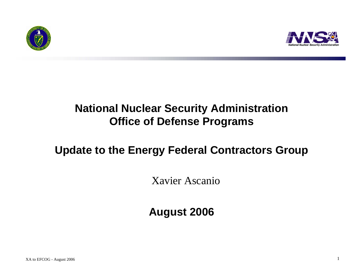



### **National Nuclear Security Administration Office of Defense Programs**

#### **Update to the Energy Federal Contractors Group**

Xavier Ascanio

**August 2006**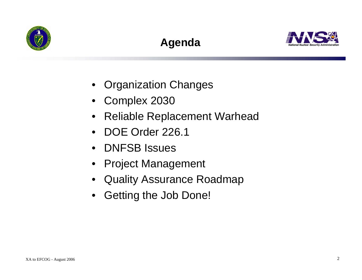

# **Agenda**



- Organization Changes
- Complex 2030
- $\bullet$ Reliable Replacement Warhead
- •DOE Order 226.1
- DNFSB Issues
- Project Management
- Quality Assurance Roadmap
- Getting the Job Done!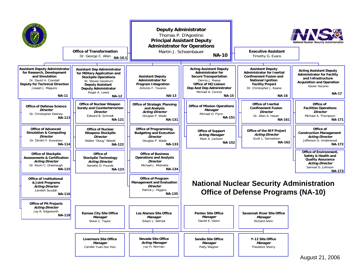|                                                                                                                                                                                      | <b>Office of Transformation</b><br>Dr. George C. Allen<br>NA-10.1                                                                                                                                                  |                                                                                                                         | <b>Deputy Administrator</b><br>Thomas P. D'Agostino<br><b>Principal Assistant Deputy</b><br><b>Administrator for Operations</b><br>Martin J. Schoenbauer<br><b>NA-10</b>                                 | <b>Executive Assistant</b><br>Timothy G. Evans                                                                                                                                                   | <b>III. A D</b> A<br>National Nuclear Security Administration                                                                                                   |
|--------------------------------------------------------------------------------------------------------------------------------------------------------------------------------------|--------------------------------------------------------------------------------------------------------------------------------------------------------------------------------------------------------------------|-------------------------------------------------------------------------------------------------------------------------|----------------------------------------------------------------------------------------------------------------------------------------------------------------------------------------------------------|--------------------------------------------------------------------------------------------------------------------------------------------------------------------------------------------------|-----------------------------------------------------------------------------------------------------------------------------------------------------------------|
|                                                                                                                                                                                      |                                                                                                                                                                                                                    |                                                                                                                         |                                                                                                                                                                                                          |                                                                                                                                                                                                  |                                                                                                                                                                 |
| <b>Assistant Deputy Administrator</b><br>for Research, Development<br>and Simulation<br>Dr. David H. Crandall<br>Deputy for Technical Direction<br>Joseph J. Maguire<br><b>NA-11</b> | <b>Assistant Dep Administrator</b><br>for Military Application and<br><b>Stockpile Operations</b><br>W. Steven Goodrum<br><b>Deputy Assistant</b><br><b>Deputy Administrator</b><br>Roger A. Lewis<br><b>NA-12</b> | <b>Assistant Deputy</b><br><b>Administrator for</b><br><b>Program Integration</b><br>Antonio F. Tavares<br><b>NA-13</b> | <b>Acting Assistant Deputy</b><br><b>Administrator for</b><br><b>Secure Transportation</b><br>Dennis J. Reese<br>Office of HQ Liaison<br>Dep Asst Dep Administrator<br>Michael A. Connor<br><b>NA-15</b> | <b>Assistant Deputy</b><br><b>Administrator for Inertial</b><br><b>Confinement Fusion and</b><br><b>National Ignition</b><br><b>Facility Project</b><br>Dr. Christopher J. Keane<br><b>NA-16</b> | <b>Acting Assistant Deputy</b><br><b>Administrator for Facility</b><br>and Infrastructure<br><b>Acquisition and Operation</b><br>Xavier Ascanio<br><b>NA-17</b> |
| <b>Office of Defense Science</b><br><b>Director</b><br>Dr. Christopher Deeney<br><b>NA-113</b>                                                                                       | <b>Office of Nuclear Weapon</b><br><b>Surety and Counterterrorism</b><br><b>Director</b><br>Edward B. Schmidt<br><b>NA-121</b>                                                                                     | <b>Office of Strategic Planning</b><br>and Analysis<br><b>Acting Director</b><br>Douglas P. Wade<br><b>NA-131</b>       | <b>Office of Mission Operations</b><br>Manager<br>Michael D. Flynn<br><b>NA-151</b>                                                                                                                      | <b>Office of Inertial</b><br><b>Confinement Fusion</b><br><b>Director</b><br>Dr. Allan A. Hauer<br><b>NA-161</b>                                                                                 | Office of<br><b>Facilities Operations</b><br><b>Director</b><br>Michael A. Thompson<br><b>NA-171</b>                                                            |
| <b>Office of Advanced</b><br><b>Simulation &amp; Computing</b><br><b>Director</b><br>Dr. Dimitri F. Kusnezov<br><b>NA-114</b>                                                        | <b>Office of Nuclear</b><br><b>Weapons Stockpile</b><br><b>Director</b><br>Walter "Doug" Abbott<br><b>NA-122</b>                                                                                                   | Office of Programming,<br><b>Budgeting and Execution</b><br><b>Director</b><br>Douglas P. Wade<br><b>NA-133</b>         | <b>Office of Support</b><br><b>Acting Manager</b><br>Mark A. Jackson<br><b>NA-152</b>                                                                                                                    | Office of the NIF Project<br><b>Acting Director</b><br>Scott L. Samuelson<br><b>NA-162</b>                                                                                                       | Office of<br><b>Construction Management</b><br><b>Acting Director</b><br>Jefferson G. Underwood<br><b>NA-172</b>                                                |
| <b>Office of Stockpile</b><br><b>Assessments &amp; Certification</b><br><b>Acting Director</b><br>Dr. Kevin C. Greenaugh<br><b>NA-115</b>                                            | Office of<br><b>Stockpile Technology</b><br><b>Acting Director</b><br>Nanette D. Founds<br><b>NA-123</b>                                                                                                           | <b>Office of Business</b><br><b>Operations and Analysis</b><br><b>Director</b><br>Michael J. Mistretta<br><b>NA-134</b> |                                                                                                                                                                                                          |                                                                                                                                                                                                  | <b>Office of Environment,</b><br>Safety & Health and<br><b>Quality Assurance</b><br><b>Acting Director</b><br>Samuel D. Johnson<br><b>NA-173</b>                |
| <b>Office of Institutional</b><br>& Joint Programs<br><b>Acting Director</b><br>Jamileh Soudah<br><b>NA-116</b>                                                                      |                                                                                                                                                                                                                    | <b>Office of Program</b><br><b>Management and Evaluation</b><br><b>Director</b><br>Patrick J. Higgins<br><b>NA-135</b>  |                                                                                                                                                                                                          | <b>National Nuclear Security Administration</b><br><b>Office of Defense Programs (NA-10)</b>                                                                                                     |                                                                                                                                                                 |
| <b>Office of Pit Projects</b>                                                                                                                                                        |                                                                                                                                                                                                                    |                                                                                                                         |                                                                                                                                                                                                          |                                                                                                                                                                                                  |                                                                                                                                                                 |
| <b>Acting Director</b><br>Jay R. Edgeworth<br><b>NA-118</b>                                                                                                                          | <b>Kansas City Site Office</b><br>Manager<br>Steve C. Taylor                                                                                                                                                       | <b>Los Alamos Site Office</b><br>Manager<br>Edwin L. Wilmot                                                             | <b>Pantex Site Office</b><br>Manager<br>Daniel E. Glenn                                                                                                                                                  | Savannah River Site Office<br>Manager<br><b>Richard Arkin</b>                                                                                                                                    |                                                                                                                                                                 |
|                                                                                                                                                                                      |                                                                                                                                                                                                                    |                                                                                                                         |                                                                                                                                                                                                          |                                                                                                                                                                                                  |                                                                                                                                                                 |
|                                                                                                                                                                                      | <b>Livermore Site Office</b><br>Manager<br>Camille Yuan-Soo Hoo                                                                                                                                                    | <b>Nevada Site Office</b><br><b>Acting Manager</b><br>Jay H. Norman                                                     | Sandia Site Office<br>Manager<br>Patty Wagner                                                                                                                                                            | Y-12 Site Office<br>Manager<br>Theodore Sherry                                                                                                                                                   |                                                                                                                                                                 |
|                                                                                                                                                                                      |                                                                                                                                                                                                                    |                                                                                                                         |                                                                                                                                                                                                          |                                                                                                                                                                                                  | August 21, 2006                                                                                                                                                 |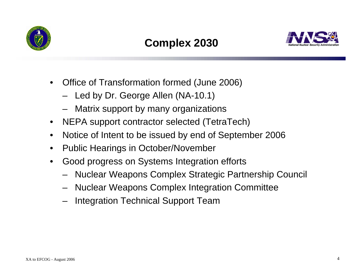

## **Complex 2030**



- $\bullet$  Office of Transformation formed (June 2006)
	- Led by Dr. George Allen (NA-10.1)
	- Matrix support by many organizations
- $\bullet$ NEPA support contractor selected (TetraTech)
- $\bullet$ Notice of Intent to be issued by end of September 2006
- $\bullet$ Public Hearings in October/November
- $\bullet$  Good progress on Systems Integration efforts
	- Nuclear Weapons Complex Strategic Partnership Council
	- Nuclear Weapons Complex Integration Committee
	- Integration Technical Support Team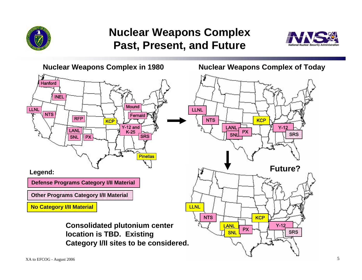

#### **Nuclear Weapons Complex Past, Present, and Future**



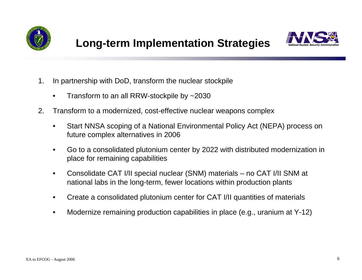



- 1. In partnership with DoD, transform the nuclear stockpile
	- •Transform to an all RRW-stockpile by ~2030
- 2. Transform to a modernized, cost-effective nuclear weapons complex
	- • Start NNSA scoping of a National Environmental Policy Act (NEPA) process on future complex alternatives in 2006
	- • Go to a consolidated plutonium center by 2022 with distributed modernization in place for remaining capabilities
	- • Consolidate CAT I/II special nuclear (SNM) materials – no CAT I/II SNM at national labs in the long-term, fewer locations within production plants
	- $\bullet$ Create a consolidated plutonium center for CAT I/II quantities of materials
	- $\bullet$ Modernize remaining production capabilities in place (e.g., uranium at Y-12)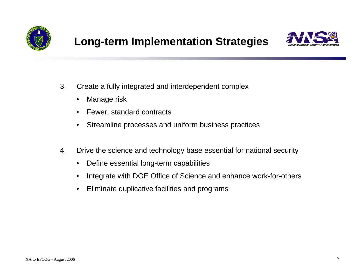



- 3. Create a fully integrated and interdependent complex
	- $\bullet$ Manage risk
	- •Fewer, standard contracts
	- •Streamline processes and uniform business practices
- 4. Drive the science and technology base essential for national security
	- $\bullet$ Define essential long-term capabilities
	- $\bullet$ Integrate with DOE Office of Science and enhance work-for-others
	- $\bullet$ Eliminate duplicative facilities and programs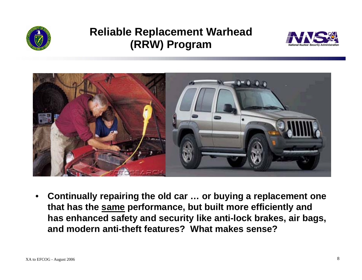

#### **Reliable Replacement Warhead (RRW) Program**





• **Continually repairing the old car … or buying a replacement one that has the same performance, but built more efficiently and has enhanced safety and security like anti-lock brakes, air bags, and modern anti-theft features? What makes sense?**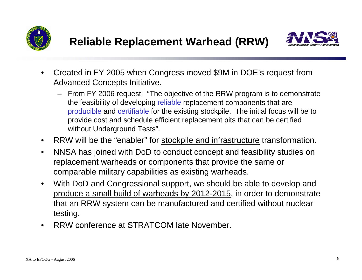



- $\bullet$  Created in FY 2005 when Congress moved \$9M in DOE's request from Advanced Concepts Initiative.
	- From FY 2006 request: "The objective of the RRW program is to demonstrate the feasibility of developing reliable replacement components that are producible and certifiable for the existing stockpile. The initial focus will be to provide cost and schedule efficient replacement pits that can be certified without Underground Tests".
- $\bullet$ RRW will be the "enabler" for stockpile and infrastructure transformation.
- $\bullet$  NNSA has joined with DoD to conduct concept and feasibility studies on replacement warheads or components that provide the same or comparable military capabilities as existing warheads.
- $\bullet$  With DoD and Congressional support, we should be able to develop and produce a small build of warheads by 2012-2015, in order to demonstrate that an RRW system can be manufactured and certified without nuclear testing.
- •RRW conference at STRATCOM late November.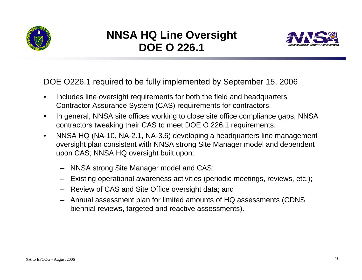

#### **NNSA HQ Line Oversight DOE O 226.1**



DOE O226.1 required to be fully implemented by September 15, 2006

- • Includes line oversight requirements for both the field and headquarters Contractor Assurance System (CAS) requirements for contractors.
- $\bullet$  In general, NNSA site offices working to close site office compliance gaps, NNSA contractors tweaking their CAS to meet DOE O 226.1 requirements.
- $\bullet$  NNSA HQ (NA-10, NA-2.1, NA-3.6) developing a headquarters line management oversight plan consistent with NNSA strong Site Manager model and dependent upon CAS; NNSA HQ oversight built upon:
	- NNSA strong Site Manager model and CAS;
	- Existing operational awareness activities (periodic meetings, reviews, etc.);
	- Review of CAS and Site Office oversight data; and
	- Annual assessment plan for limited amounts of HQ assessments (CDNS biennial reviews, targeted and reactive assessments).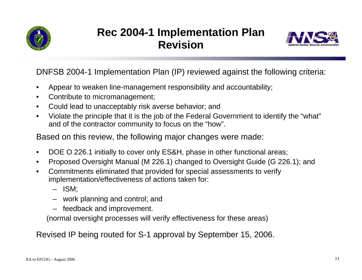

#### **Rec 2004-1 Implementation Plan Revision**



DNFSB 2004-1 Implementation Plan (IP) reviewed against the following criteria:

- •Appear to weaken line-management responsibility and accountability;
- $\bullet$ Contribute to micromanagement;
- $\bullet$ Could lead to unacceptably risk averse behavior; and
- • Violate the principle that it is the job of the Federal Government to identify the "what" and of the contractor community to focus on the "how".

Based on this review, the following major changes were made:

- $\bullet$ DOE O 226.1 initially to cover only ES&H, phase in other functional areas;
- $\bullet$ Proposed Oversight Manual (M 226.1) changed to Oversight Guide (G 226.1); and
- • Commitments eliminated that provided for special assessments to verify implementation/effectiveness of actions taken for:
	- ISM;
	- work planning and control; and
	- feedback and improvement.

(normal oversight processes will verify effectiveness for these areas)

Revised IP being routed for S-1 approval by September 15, 2006.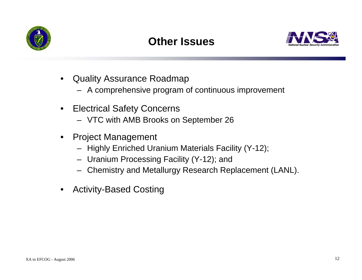

### **Other Issues**



- $\bullet$  Quality Assurance Roadmap
	- A comprehensive program of continuous improvement
- $\bullet$  Electrical Safety Concerns
	- VTC with AMB Brooks on September 26
- $\bullet$  Project Management
	- Highly Enriched Uranium Materials Facility (Y-12);
	- Uranium Processing Facility (Y-12); and
	- Chemistry and Metallurgy Research Replacement (LANL).
- $\bullet$ Activity-Based Costing